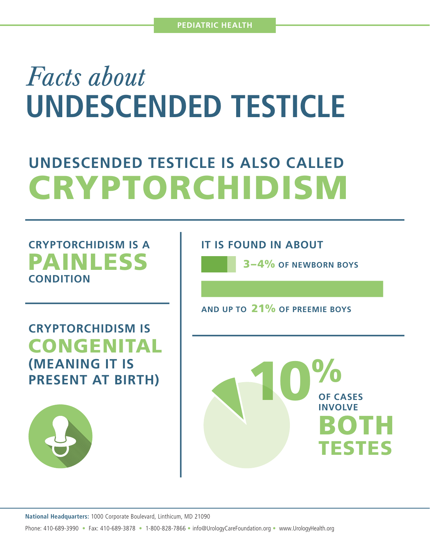## *Facts about* **UNDESCENDED TESTICLE**

## **UNDESCENDED TESTICLE IS ALSO CALLED** CRYPTORCHIDISM

## **CRYPTORCHIDISM IS A**  PAINLESS **CONDITION**

**CRYPTORCHIDISM IS**  CONGENITAL **(MEANING IT IS PRESENT AT BIRTH)**



**IT IS FOUND IN ABOUT** 

3–4% **OF NEWBORN BOYS**

**OF CASES** 

**AND UP TO** 21% **OF PREEMIE BOYS**

10% **INVOLVE** BOTH TESTES